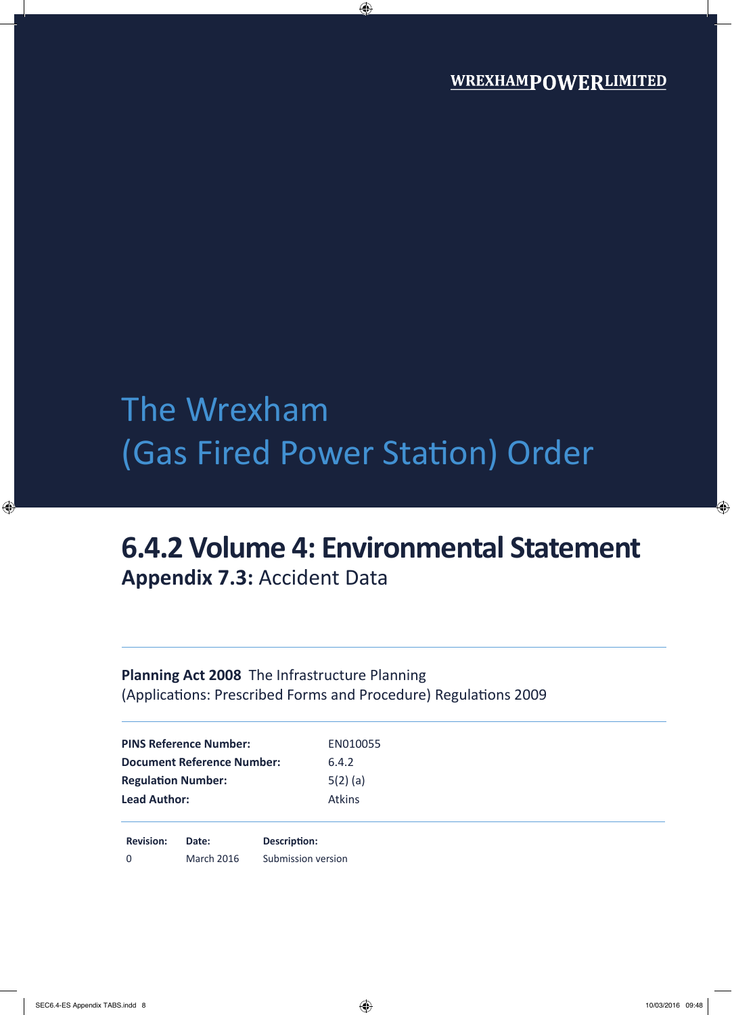# The Wrexham (Gas Fired Power Station) Order

## **6.4.2 Volume 4: Environmental Statement Appendix 7.3:** Accident Data

### **Planning Act 2008** The Infrastructure Planning (Applications: Prescribed Forms and Procedure) Regulations 2009

**Revision: Date: Description:** 0 March 2016 Submission version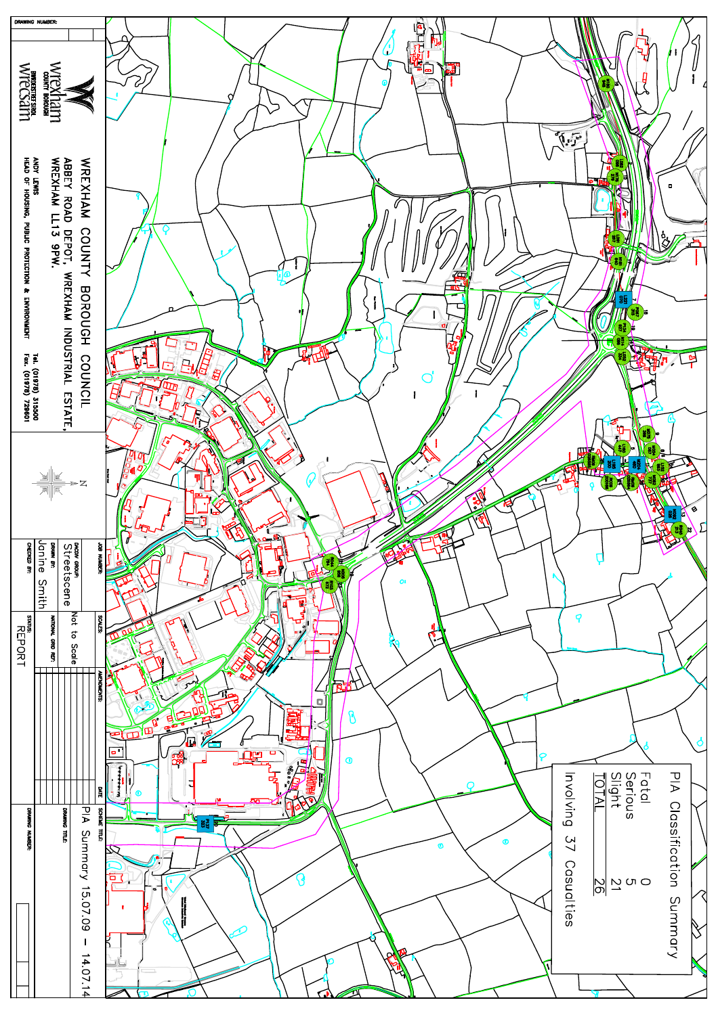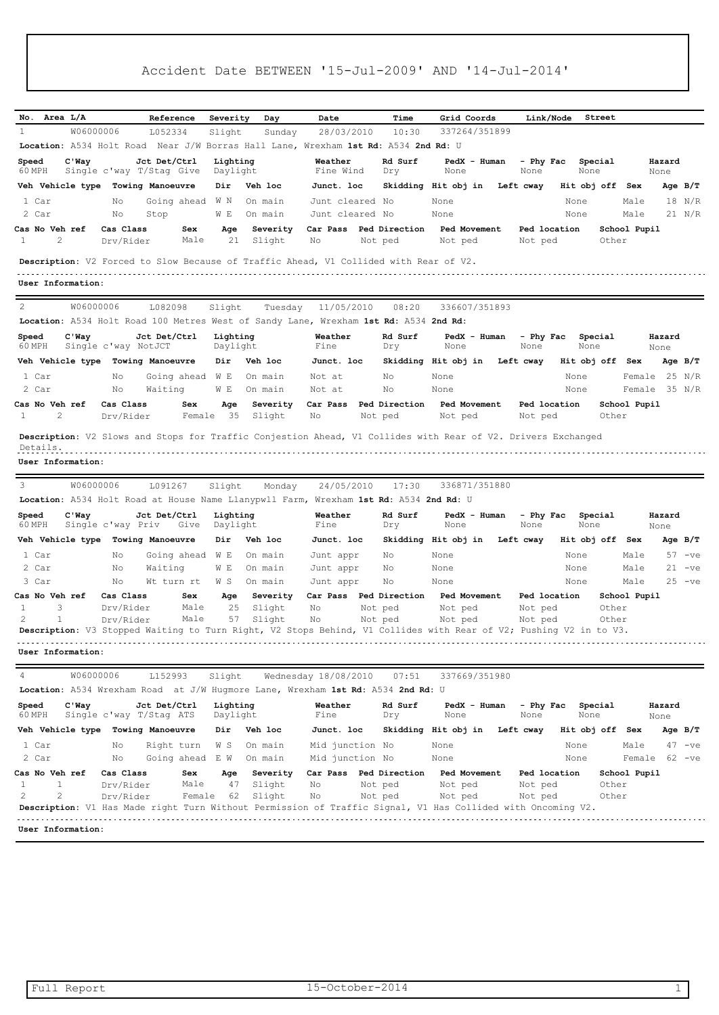|                                                                                                            |                        | Reference                               |                      |                    | Date                               | Time                     | Grid Coords                                                                                                                       | Link/Node               | Street          |              |                |
|------------------------------------------------------------------------------------------------------------|------------------------|-----------------------------------------|----------------------|--------------------|------------------------------------|--------------------------|-----------------------------------------------------------------------------------------------------------------------------------|-------------------------|-----------------|--------------|----------------|
| No. Area L/A<br>$\mathbf{1}$<br>W06000006                                                                  |                        | L052334                                 | Severity<br>Slight   | Day<br>Sunday      | 28/03/2010                         | 10:30                    | 337264/351899                                                                                                                     |                         |                 |              |                |
| Location: A534 Holt Road Near J/W Borras Hall Lane, Wrexham 1st Rd: A534 2nd Rd: U                         |                        |                                         |                      |                    |                                    |                          |                                                                                                                                   |                         |                 |              |                |
| $C'$ Way<br>Speed                                                                                          |                        | Jct Det/Ctrl                            | Lighting             |                    | Weather                            | Rd Surf                  | PedX - Human                                                                                                                      | - Phy Fac               | Special         |              | Hazard         |
| 60 MPH                                                                                                     |                        | Single c'way T/Stag Give                | Daylight             |                    | Fine Wind                          | Dry                      | None                                                                                                                              | None                    | None            |              | None           |
| Veh Vehicle type                                                                                           |                        | Towing Manoeuvre                        | Dir                  | Veh loc            | Junct. loc                         |                          | Skidding Hit obj in                                                                                                               | Left cway               | Hit obj off Sex |              | Age $B/T$      |
| 1 Car                                                                                                      | No                     | Going ahead                             | W N                  | On main            | Junt cleared No                    |                          | None                                                                                                                              |                         | None            | Male         | 18 N/R         |
| 2 Car                                                                                                      | Νo                     | Stop                                    | W E                  | On main            | Junt cleared No                    |                          | None                                                                                                                              |                         | None            | Male         | 21 N/R         |
| Cas No Veh ref<br>2<br>1                                                                                   | Cas Class<br>Drv/Rider | Sex<br>Male                             | Age<br>21            | Severity<br>Slight | Car Pass<br>No                     | Ped Direction<br>Not ped | Ped Movement<br>Not ped                                                                                                           | Ped location<br>Not ped | Other           | School Pupil |                |
| Description: V2 Forced to Slow Because of Traffic Ahead, V1 Collided with Rear of V2.<br>User Information: |                        |                                         |                      |                    |                                    |                          |                                                                                                                                   |                         |                 |              |                |
| 2<br>W06000006                                                                                             |                        | L082098                                 | Slight               | Tuesday            | 11/05/2010                         | 08:20                    | 336607/351893                                                                                                                     |                         |                 |              |                |
| Location: A534 Holt Road 100 Metres West of Sandy Lane, Wrexham 1st Rd: A534 2nd Rd:                       |                        |                                         |                      |                    |                                    |                          |                                                                                                                                   |                         |                 |              |                |
| $C'$ Way<br>Speed<br>60 MPH                                                                                | Single c'way NotJCT    | Jct Det/Ctrl                            | Lighting<br>Daylight |                    | Weather<br>Fine                    | Rd Surf<br>Dry           | PedX - Human<br>None                                                                                                              | - Phy Fac<br>None       | Special<br>None |              | Hazard<br>None |
| Veh Vehicle type                                                                                           |                        | Towing Manoeuvre                        | Dir                  | Veh loc            | Junct. loc                         |                          | Skidding Hit obj in                                                                                                               | Left cway               | Hit obj off Sex |              | Age $B/T$      |
| 1 Car                                                                                                      | No                     | Going ahead W E                         |                      | On main            | Not at                             | No                       | None                                                                                                                              |                         | None            | Female       | 25 N/R         |
| 2 Car                                                                                                      | No                     | Waiting                                 | W E                  | On main            | Not at                             | No                       | None                                                                                                                              |                         | None            | Female       | 35 N/R         |
| Cas No Veh ref                                                                                             | Cas Class              | Sex                                     | Age                  | Severity           | Car Pass                           | Ped Direction            | <b>Ped Movement</b>                                                                                                               | Ped location            |                 | School Pupil |                |
| 2<br>1                                                                                                     | Drv/Rider              | Female                                  | 35                   | Slight             | No                                 | Not ped                  | Not ped                                                                                                                           | Not ped                 | Other           |              |                |
| 3<br>W06000006<br>Location: A534 Holt Road at House Name Llanypwll Farm, Wrexham 1st Rd: A534 2nd Rd: U    |                        | L091267                                 | Slight               | Monday             | 24/05/2010                         | 17:30                    | 336871/351880                                                                                                                     |                         |                 |              |                |
| Speed<br>$C'$ Way<br>60 MPH                                                                                | Single c'way Priv      | Jct Det/Ctrl<br>Give                    | Lighting<br>Daylight |                    | Weather<br>Fine                    | Rd Surf<br>Dry           | PedX - Human<br>None                                                                                                              | - Phy Fac<br>None       | Special<br>None |              | Hazard<br>None |
| Veh Vehicle type                                                                                           |                        | Towing Manoeuvre                        | Dir                  | Veh loc            | Junct. loc                         |                          | Skidding Hit obj in                                                                                                               | Left cway               | Hit obj off Sex |              | Age $B/T$      |
| 1 Car                                                                                                      | Νo                     | Going ahead                             | W E                  | On main            | Junt appr                          | No                       | None                                                                                                                              |                         | None            | Male         | $57 -ve$       |
| 2 Car                                                                                                      | No                     | Waiting                                 | W E                  | On main            | Junt appr                          | No                       | None                                                                                                                              |                         | None            | Male         | $21 -ve$       |
| 3 Car                                                                                                      | Νo                     | Wt turn rt                              | W S                  | On main            | Junt appr                          | No                       | None                                                                                                                              |                         | None            | Male         | $25 -ve$       |
| Cas No Veh ref                                                                                             | Cas Class              | Sex                                     | Age                  | Severity           | Car Pass                           | Ped Direction            | Ped Movement                                                                                                                      | Ped location            |                 | School Pupil |                |
| 1<br>3<br>2                                                                                                | Drv/Rider              | Male                                    | 25                   | Slight             | No                                 | Not ped                  | Not ped                                                                                                                           | Not ped                 | Other           |              |                |
| 1                                                                                                          | Drv/Rider              | Male                                    | 57                   | Slight             | No                                 | Not ped                  | Not ped<br>Description: V3 Stopped Waiting to Turn Right, V2 Stops Behind, V1 Collides with Rear of V2; Pushing V2 in to V3.      | Not ped                 | Other           |              |                |
| User Information:                                                                                          |                        |                                         |                      | .                  |                                    |                          |                                                                                                                                   |                         |                 |              |                |
| 4<br>W06000006                                                                                             |                        | L152993                                 | Slight               |                    | Wednesday 18/08/2010               | 07:51                    | 337669/351980                                                                                                                     |                         |                 |              |                |
|                                                                                                            |                        |                                         |                      |                    |                                    |                          |                                                                                                                                   |                         |                 |              |                |
| Location: A534 Wrexham Road at J/W Hugmore Lane, Wrexham 1st Rd: A534 2nd Rd: U                            |                        |                                         |                      |                    | Weather                            | Rd Surf                  | PedX - Human                                                                                                                      | - Phy Fac               | Special         |              | Hazard         |
| Speed<br>$C'$ Way<br>60 MPH                                                                                |                        | Jct Det/Ctrl<br>Single c'way T/Stag ATS | Lighting<br>Daylight |                    | Fine                               | Dry                      | None                                                                                                                              | None                    | None            |              | None           |
| Veh Vehicle type Towing Manoeuvre                                                                          |                        |                                         | Dir                  | Veh loc            | Junct. loc                         |                          | Skidding Hit obj in Left cway                                                                                                     |                         | Hit obj off Sex |              | Age B/T        |
| 1 Car                                                                                                      | No                     | Right turn                              | W S                  | On main            |                                    |                          | None                                                                                                                              |                         | None            | Male         | $47 -ve$       |
| 2 Car                                                                                                      | No                     | Going ahead E W                         |                      | On main            | Mid junction No<br>Mid junction No |                          | None                                                                                                                              |                         | None            |              | Female 62 -ve  |
| Cas No Veh ref                                                                                             | Cas Class              | Sex                                     | Age                  | Severity           |                                    | Car Pass Ped Direction   | <b>Ped Movement</b>                                                                                                               | Ped location            |                 |              |                |
| 1<br>$\mathbf{1}$<br>2<br>2                                                                                | Drv/Rider<br>Drv/Rider | Male<br>Female                          | 47<br>62             | Slight<br>Slight   | No<br>No                           | Not ped<br>Not ped       | Not ped<br>Not ped<br>Description: V1 Has Made right Turn Without Permission of Traffic Signal, V1 Has Collided with Oncoming V2. | Not ped<br>Not ped      | Other<br>Other  | School Pupil |                |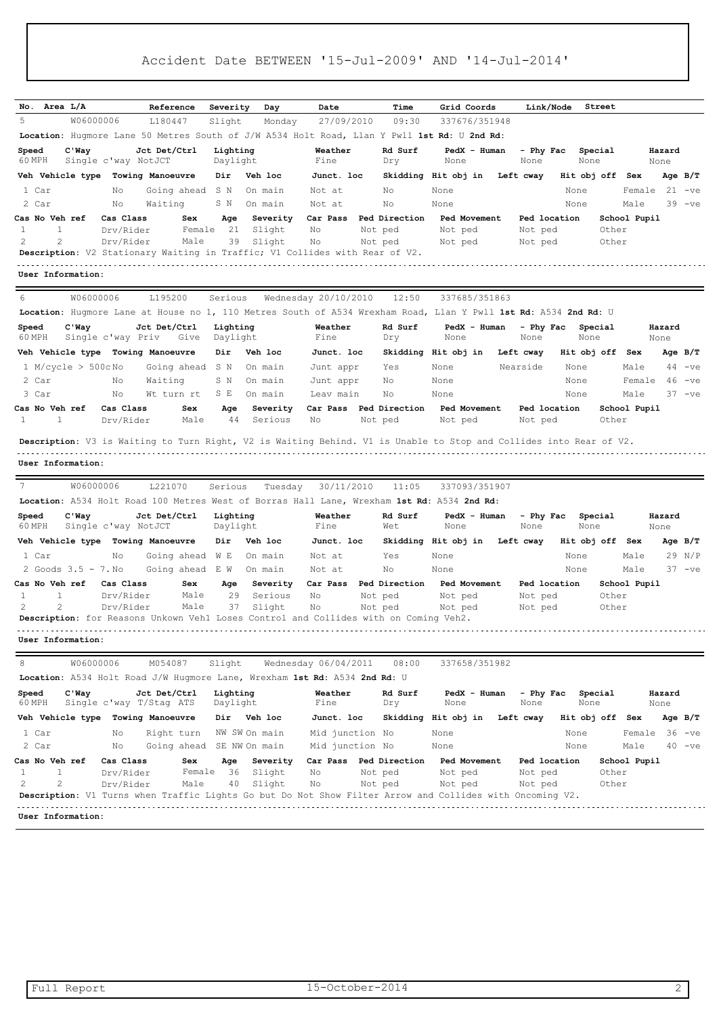| No. Area L/A                      | Reference                                                                                                          | Severity             | Day                 | Date                      | Time               | Grid Coords             | Link/Node               | Street          |                    |          |
|-----------------------------------|--------------------------------------------------------------------------------------------------------------------|----------------------|---------------------|---------------------------|--------------------|-------------------------|-------------------------|-----------------|--------------------|----------|
| 5<br>W06000006                    | L180447                                                                                                            | Slight               | Monday              | 27/09/2010                | 09:30              | 337676/351948           |                         |                 |                    |          |
|                                   | Location: Hugmore Lane 50 Metres South of J/W A534 Holt Road, Llan Y Pwll 1st Rd: U 2nd Rd:                        |                      |                     |                           |                    |                         |                         |                 |                    |          |
| $C'$ Way<br>Speed                 | Jct Det/Ctrl                                                                                                       | Lighting             |                     | Weather                   | Rd Surf            | PedX - Human            | - Phy Fac               | Special         | Hazard             |          |
| 60 MPH                            | Single c'way NotJCT                                                                                                | Daylight             |                     | Fine                      | Dry                | None                    | None                    | None            | None               |          |
| Veh Vehicle type Towing Manoeuvre |                                                                                                                    | Dir                  | Veh loc             | Junct. loc                |                    | Skidding Hit obj in     | Left cway               | Hit obj off Sex | Age $B/T$          |          |
| 1 Car                             | No<br>Going ahead                                                                                                  | S N                  | On main             | Not at                    | No                 | None                    |                         | None            | $21 -ve$<br>Female |          |
| 2 Car                             | Waiting<br>No                                                                                                      | S N                  | On main             | Not at                    | No                 | None                    |                         | None            | Male               | $39 -ve$ |
| <b>Cas No Veh ref</b><br>1<br>1   | Cas Class<br>Sex<br>Female<br>Drv/Rider                                                                            | Age<br>21            | Severity<br>Slight  | Car Pass<br>No<br>Not ped | Ped Direction      | Ped Movement<br>Not ped | Ped location<br>Not ped | Other           | School Pupil       |          |
| 2<br>2                            | Male<br>Drv/Rider                                                                                                  | 39                   | Slight              | No<br>Not ped             |                    | Not ped                 | Not ped                 | Other           |                    |          |
|                                   | Description: V2 Stationary Waiting in Traffic; V1 Collides with Rear of V2.                                        |                      |                     |                           |                    |                         |                         |                 |                    |          |
| User Information:                 |                                                                                                                    |                      |                     |                           |                    |                         |                         |                 |                    |          |
|                                   |                                                                                                                    |                      |                     |                           |                    |                         |                         |                 |                    |          |
| W06000006<br>6                    | L195200                                                                                                            | Serious              |                     | Wednesday 20/10/2010      | 12:50              | 337685/351863           |                         |                 |                    |          |
|                                   | Location: Hugmore Lane at House no 1, 110 Metres South of A534 Wrexham Road, Llan Y Pwll 1st Rd: A534 2nd Rd: U    |                      |                     |                           |                    |                         |                         |                 |                    |          |
| Speed<br>$C'$ Way<br>60 MPH       | Jct Det/Ctrl<br>Single c'way Priv<br>Give                                                                          | Lighting<br>Daylight |                     | Weather<br>Fine           | Rd Surf<br>Dry     | PedX - Human<br>None    | - Phy Fac<br>None       | Special<br>None | Hazard<br>None     |          |
| Veh Vehicle type Towing Manoeuvre |                                                                                                                    | Dir                  | Veh loc             | Junct. loc                |                    | Skidding Hit obj in     | Left cway               | Hit obj off Sex | Age $B/T$          |          |
| $1$ M/cycle > 500cNo              | Going ahead                                                                                                        | S N                  | On main             | Junt appr                 | Yes                | None                    | Nearside                | None            | 44<br>Male         | $-ve$    |
| 2 Car                             | Waiting<br>Νo                                                                                                      | S N                  | On main             | Junt appr                 | No                 | None                    |                         | None            | 46<br>Female       | $-ve$    |
| 3 Car                             | No<br>Wt turn rt                                                                                                   | S E                  | On main             | Leav main                 | No                 | None                    |                         | None            | Male<br>$37 -ve$   |          |
| Cas No Veh ref                    | Cas Class<br>Sex                                                                                                   | Age                  | Severity            | Car Pass Ped Direction    |                    | <b>Ped Movement</b>     | Ped location            |                 | School Pupil       |          |
| 1<br>$\mathbf{1}$                 | Drv/Rider<br>Male                                                                                                  | 44                   | Serious             | No<br>Not ped             |                    | Not ped                 | Not ped                 | Other           |                    |          |
|                                   | Description: V3 is Waiting to Turn Right, V2 is Waiting Behind. V1 is Unable to Stop and Collides into Rear of V2. |                      |                     |                           |                    |                         |                         |                 |                    |          |
|                                   |                                                                                                                    |                      |                     |                           |                    |                         |                         |                 |                    |          |
| User Information:                 |                                                                                                                    |                      |                     |                           |                    |                         |                         |                 |                    |          |
| 7<br>W06000006                    | L221070                                                                                                            | Serious              | Tuesday             | 30/11/2010                | 11:05              | 337093/351907           |                         |                 |                    |          |
|                                   | Location: A534 Holt Road 100 Metres West of Borras Hall Lane, Wrexham 1st Rd: A534 2nd Rd:                         |                      |                     |                           |                    |                         |                         |                 |                    |          |
| Speed<br>$C'$ Way                 | Jct Det/Ctrl                                                                                                       | Lighting             |                     | Weather                   | Rd Surf            | PedX - Human            | - Phy Fac               | Special         | Hazard             |          |
| 60 MPH                            | Single c'way NotJCT                                                                                                | Daylight             |                     | Fine                      | Wet                | None                    | None                    | None            | None               |          |
| Veh Vehicle type Towing Manoeuvre |                                                                                                                    | Dir                  | Veh loc             | Junct. loc                |                    | Skidding Hit obj in     | Left cway               | Hit obj off Sex | Age $B/T$          |          |
| 1 Car                             | No<br>Going ahead                                                                                                  | W E                  | On main             | Not at                    | Yes                | None                    |                         | None            | 29 N/P<br>Male     |          |
| 2 Goods 3.5 - 7. No               | Going ahead                                                                                                        | E W                  | On main             | Not at                    | No                 | None                    |                         | None            | $37 -ve$<br>Male   |          |
| Cas No Veh ref<br>1<br>1          | Cas Class<br>Sex<br>Male<br>Drv/Rider                                                                              | Age<br>29            | Severity<br>Serious | Car Pass<br>No            | Ped Direction      | Ped Movement            | Ped location<br>Not ped | Other           | School Pupil       |          |
| 2<br>2                            | Male<br>Drv/Rider                                                                                                  | 37                   | Slight              | No                        | Not ped<br>Not ped | Not ped<br>Not ped      | Not ped                 | Other           |                    |          |
|                                   | Description: for Reasons Unkown Vehl Loses Control and Collides with on Coming Veh2.                               |                      |                     |                           |                    |                         |                         |                 |                    |          |
| User Information:                 |                                                                                                                    |                      |                     |                           |                    |                         |                         |                 |                    |          |
| W06000006<br>8                    | M054087                                                                                                            | Slight               |                     | Wednesday 06/04/2011      | 08:00              | 337658/351982           |                         |                 |                    |          |
|                                   | Location: A534 Holt Road J/W Hugmore Lane, Wrexham 1st Rd: A534 2nd Rd: U                                          |                      |                     |                           |                    |                         |                         |                 |                    |          |
| Speed<br>$C'$ Wav<br>60 MPH       | Jct Det/Ctrl<br>Single c'way T/Stag ATS                                                                            | Lighting<br>Daylight |                     | Weather<br>Fine           | Rd Surf<br>Dry     | PedX - Human<br>None    | - Phy Fac<br>None       | Special<br>None | Hazard<br>None     |          |
|                                   | Veh Vehicle type Towing Manoeuvre                                                                                  | Dir                  | Veh loc             | Junct. loc                |                    | Skidding Hit obj in     | Left cway               | Hit obj off Sex | Age B/T            |          |
| 1 Car                             | No<br>Right turn                                                                                                   | NW SW On main        |                     | Mid junction No           |                    | None                    |                         | None            | Female 36 -ve      |          |
| 2 Car                             | No<br>Going ahead                                                                                                  | SE NW On main        |                     | Mid junction No           |                    | None                    |                         | None            | Male               | $40 -ve$ |
| Cas No Veh ref                    | Cas Class<br>Sex                                                                                                   | Age                  | Severity            | Car Pass Ped Direction    |                    | Ped Movement            | Ped location            |                 | School Pupil       |          |
|                                   |                                                                                                                    |                      |                     |                           |                    |                         |                         |                 |                    |          |
| 1<br>1                            | Female<br>Drv/Rider                                                                                                | 36                   | Slight              | No                        | Not ped            | Not ped                 | Not ped                 | Other           |                    |          |
| 2<br>2                            | Drv/Rider<br>Male                                                                                                  | 40                   | Slight              | No<br>Not ped             |                    | Not ped                 | Not ped                 | Other           |                    |          |
|                                   | Description: V1 Turns when Traffic Lights Go but Do Not Show Filter Arrow and Collides with Oncoming V2.           |                      |                     |                           |                    |                         |                         |                 |                    |          |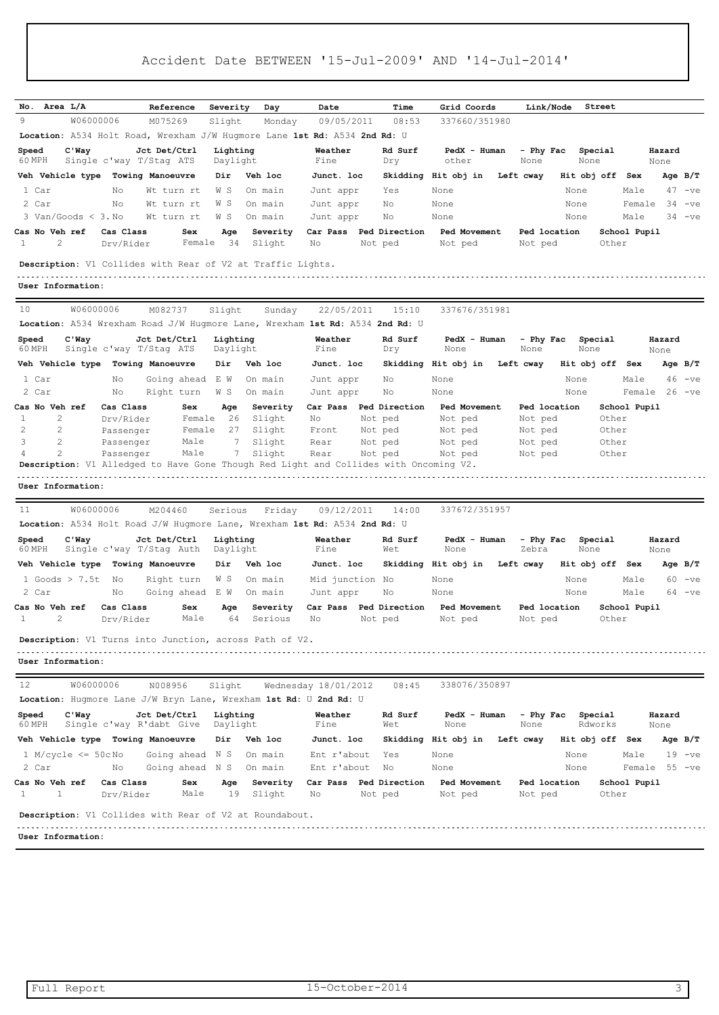| No. Area L/A                                                                          |                         | Reference                                | Severity             |                     | Date                 | Time                              | Grid Coords             | Link/Node               | Street             |                       |                |           |
|---------------------------------------------------------------------------------------|-------------------------|------------------------------------------|----------------------|---------------------|----------------------|-----------------------------------|-------------------------|-------------------------|--------------------|-----------------------|----------------|-----------|
| 9<br>W06000006                                                                        |                         | M075269                                  | Slight               | Day<br>Monday       | 09/05/2011           | 08:53                             | 337660/351980           |                         |                    |                       |                |           |
| Location: A534 Holt Road, Wrexham J/W Hugmore Lane 1st Rd: A534 2nd Rd: U             |                         |                                          |                      |                     |                      |                                   |                         |                         |                    |                       |                |           |
| $C'$ Way<br>Speed                                                                     |                         | Jct Det/Ctrl                             | Lighting             |                     | Weather              | Rd Surf                           | PedX - Human            | - Phy Fac               | Special            |                       | Hazard         |           |
| 60 MPH                                                                                | Single c'way T/Stag ATS |                                          | Daylight             |                     | Fine                 | Dry                               | other                   | None                    | None               |                       | None           |           |
| Veh Vehicle type                                                                      |                         | <b>Towing Manoeuvre</b>                  | Dir                  | Veh loc             | Junct. loc           |                                   | Skidding Hit obj in     | Left cway               | Hit obj off        | Sex                   |                | Age $B/T$ |
| 1 Car                                                                                 | No                      | Wt turn rt                               | W S                  | On main             | Junt appr            | Yes                               | None                    |                         | None               | Male                  | 47             | $-ve$     |
| 2 Car                                                                                 | No                      | Wt turn rt                               | W S                  | On main             | Junt appr            | No                                | None                    |                         | None               | Female                | 34             | $-ve$     |
| $3$ Van/Goods $<$ 3. No                                                               |                         | Wt turn rt                               | W S                  | On main             | Junt appr            | No                                | None                    |                         | None               | Male                  |                | $34 -ve$  |
| Cas No Veh ref<br>2<br>1                                                              | Cas Class<br>Drv/Rider  | Sex<br>Female                            | Age<br>34            | Severity<br>Slight  | No                   | Car Pass Ped Direction<br>Not ped | Ped Movement<br>Not ped | Ped location<br>Not ped |                    | School Pupil<br>Other |                |           |
| <b>Description:</b> V1 Collides with Rear of V2 at Traffic Lights.                    |                         |                                          |                      |                     |                      |                                   |                         |                         |                    |                       |                |           |
| User Information:                                                                     |                         |                                          |                      |                     |                      |                                   |                         |                         |                    |                       |                |           |
| 10<br>W06000006                                                                       |                         | M082737                                  | Slight               | Sunday              | 22/05/2011           | 15:10                             | 337676/351981           |                         |                    |                       |                |           |
| Location: A534 Wrexham Road J/W Hugmore Lane, Wrexham 1st Rd: A534 2nd Rd: U          |                         |                                          |                      |                     |                      |                                   |                         |                         |                    |                       |                |           |
| $C'$ Way<br>Speed                                                                     |                         | Jct Det/Ctrl                             | Lighting             |                     | Weather              | Rd Surf                           | PedX - Human            | - Phy Fac               | Special            |                       | Hazard         |           |
| 60 MPH                                                                                | Single c'way T/Stag ATS |                                          | Daylight             |                     | Fine                 | Dry                               | None                    | None                    | None               |                       | None           |           |
| Veh Vehicle type Towing Manoeuvre                                                     |                         |                                          | Dir                  | Veh loc             | Junct. loc           |                                   | Skidding Hit obj in     | Left cway               | Hit obj off        | Sex                   |                | Age $B/T$ |
| 1 Car                                                                                 | Νo                      | Going ahead                              | E W                  | On main             | Junt appr            | No                                | None                    |                         | None               | Male                  | 46             | $-ve$     |
| 2 Car                                                                                 | No                      | Right turn                               | W S                  | On main             | Junt appr            | No                                | None                    |                         | None               | Female                |                | $26 -ve$  |
| <b>Cas No Veh ref</b>                                                                 | Cas Class               | Sex                                      | Age                  | Severity            | Car Pass             | Ped Direction                     | Ped Movement            | Ped location            |                    | School Pupil          |                |           |
| 2<br>1<br>$\overline{2}$<br>2                                                         | Drv/Rider<br>Passenger  | Female<br>Female                         | 26<br>27             | Slight<br>Slight    | No<br>Front          | Not ped<br>Not ped                | Not ped<br>Not ped      | Not ped<br>Not ped      |                    | Other<br>Other        |                |           |
| 3<br>2                                                                                | Passenger               | Male                                     | 7                    | Slight              | Rear                 | Not ped                           | Not ped                 | Not ped                 |                    | Other                 |                |           |
| 2<br>4                                                                                | Passenger               | Male                                     | 7                    | Slight              | Rear                 | Not ped                           | Not ped                 | Not ped                 |                    | Other                 |                |           |
| Description: V1 Alledged to Have Gone Though Red Light and Collides with Oncoming V2. |                         |                                          |                      |                     |                      |                                   |                         |                         |                    |                       |                |           |
| User Information:                                                                     |                         |                                          |                      |                     |                      |                                   |                         |                         |                    |                       |                |           |
| 11                                                                                    | W06000006               | M204460                                  | Serious              | Friday              | 09/12/2011           | 14:00                             | 337672/351957           |                         |                    |                       |                |           |
|                                                                                       |                         |                                          |                      |                     |                      |                                   |                         |                         |                    |                       |                |           |
| Location: A534 Holt Road J/W Hugmore Lane, Wrexham 1st Rd: A534 2nd Rd: U             |                         |                                          |                      |                     |                      |                                   |                         |                         |                    |                       | Hazard         |           |
| C'Way<br>Speed<br>60 MPH                                                              |                         | Jct Det/Ctrl<br>Single c'way T/Stag Auth | Lighting<br>Daylight |                     | Weather<br>Fine      | Rd Surf<br>Wet                    | PedX - Human<br>None    | - Phy Fac<br>Zebra      | Special<br>None    |                       | None           |           |
| Veh Vehicle type                                                                      |                         | Towing Manoeuvre                         | Dir                  | Veh loc             | Junct. loc           |                                   | Skidding Hit obj in     | Left cway               | Hit obj off        | Sex                   |                | Age $B/T$ |
| 1 Goods $> 7.5t$                                                                      | No                      | Right turn                               | W S                  | On main             | Mid junction No      |                                   | None                    |                         | None               | Male                  | 60             | $-ve$     |
| 2 Car                                                                                 | Νo                      | Going ahead                              | E W                  | On main             | Junt appr            | No                                | None                    |                         | None               | Male                  |                | $64 -ve$  |
| <b>Cas No Veh ref</b><br>2<br>1                                                       | Cas Class<br>Drv/Rider  | Sex<br>Male                              | Age<br>64            | Severity<br>Serious | Car Pass<br>No       | Ped Direction<br>Not ped          | Ped Movement<br>Not ped | Ped location<br>Not ped |                    | School Pupil<br>Other |                |           |
|                                                                                       |                         |                                          |                      |                     |                      |                                   |                         |                         |                    |                       |                |           |
| Description: V1 Turns into Junction, across Path of V2.                               |                         |                                          |                      |                     |                      |                                   |                         |                         |                    |                       |                |           |
| User Information:                                                                     |                         |                                          |                      |                     |                      |                                   |                         |                         |                    |                       |                |           |
| 12<br>W06000006                                                                       |                         | N008956                                  | Slight               |                     | Wednesday 18/01/2012 | 08:45                             | 338076/350897           |                         |                    |                       |                |           |
| Location: Hugmore Lane J/W Bryn Lane, Wrexham 1st Rd: U 2nd Rd: U                     |                         |                                          |                      |                     |                      |                                   |                         |                         |                    |                       |                |           |
| $C'$ Way<br>Speed<br>60 MPH                                                           |                         | Jct Det/Ctrl<br>Single c'way R'dabt Give | Lighting<br>Daylight |                     | Weather<br>Fine      | Rd Surf<br>Wet                    | PedX - Human<br>None    | - Phy Fac<br>None       | Special<br>Rdworks |                       | Hazard<br>None |           |
| Veh Vehicle type Towing Manoeuvre                                                     |                         |                                          | Dir                  | Veh loc             | Junct. loc           |                                   | Skidding Hit obj in     | Left cway               | Hit obj off Sex    |                       |                | Age $B/T$ |
| $1 M/cycle \le 50cNo$                                                                 |                         | Going ahead N S                          |                      | On main             | Ent r'about          | Yes                               | None                    |                         | None               | Male                  | 19             | $-ve$     |
| 2 Car                                                                                 | Νo                      | Going ahead N S                          |                      | On main             | Ent r'about          | No                                | None                    |                         | None               | Female                |                | $55 - ve$ |
| Cas No Veh ref                                                                        | Cas Class               | Sex                                      | Age                  | Severity            |                      | Car Pass Ped Direction            | Ped Movement            | Ped location            |                    | School Pupil          |                |           |
| 1<br>1                                                                                | Drv/Rider               | Male                                     | 19                   | Slight              | Νo                   | Not ped                           | Not ped                 | Not ped                 |                    | Other                 |                |           |
| <b>Description:</b> V1 Collides with Rear of V2 at Roundabout.                        |                         |                                          |                      |                     |                      |                                   |                         |                         |                    |                       |                |           |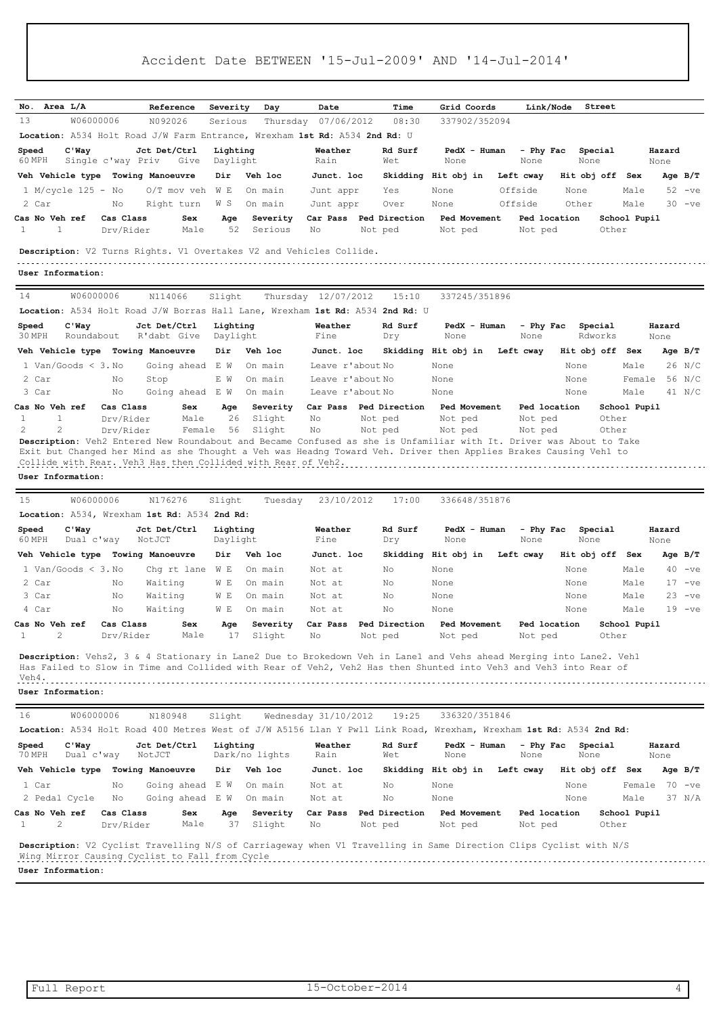| Area L/A<br>No.<br>13<br>W06000006                                                                                                                                                                                                                                    |                        | Reference<br>N092026                                                                                                | Severity<br>Serious  | Day                 | Date<br>Thursday 07/06/2012 | Time<br>08:30                     | Grid Coords<br>337902/352094  |                    | Link/Node             | Street                |                            |
|-----------------------------------------------------------------------------------------------------------------------------------------------------------------------------------------------------------------------------------------------------------------------|------------------------|---------------------------------------------------------------------------------------------------------------------|----------------------|---------------------|-----------------------------|-----------------------------------|-------------------------------|--------------------|-----------------------|-----------------------|----------------------------|
| Location: A534 Holt Road J/W Farm Entrance, Wrexham 1st Rd: A534 2nd Rd: U                                                                                                                                                                                            |                        |                                                                                                                     |                      |                     |                             |                                   |                               |                    |                       |                       |                            |
| $C'$ Way<br>Speed                                                                                                                                                                                                                                                     |                        | Jct Det/Ctrl                                                                                                        | Lighting             |                     | Weather                     | Rd Surf                           | PedX - Human                  | - Phy Fac          | Special               |                       | Hazard                     |
| 60 MPH                                                                                                                                                                                                                                                                | Single c'way Priv      | Give                                                                                                                | Daylight             |                     | Rain                        | Wet                               | None                          | None               | None                  |                       | None                       |
| Veh Vehicle type Towing Manoeuvre                                                                                                                                                                                                                                     |                        |                                                                                                                     | Dir                  | Veh loc             | Junct. loc                  |                                   | Skidding Hit obj in           | Left cway          |                       | Hit obj off Sex       | Age B/T                    |
| 1 M/cycle 125 - No                                                                                                                                                                                                                                                    |                        | $O/T$ mov veh WE                                                                                                    |                      | On main             | Junt appr                   | Yes                               | None                          | Offside            | None                  | Male                  | $52 -ve$                   |
| 2 Car<br>Cas No Veh ref                                                                                                                                                                                                                                               | Νo<br>Cas Class        | Right turn<br>Sex                                                                                                   | W S<br>Age           | On main<br>Severity | Junt appr<br>Car Pass       | Over<br>Ped Direction             | None<br>Ped Movement          | Offside            | Other<br>Ped location | Male<br>School Pupil  | $30 -ve$                   |
| 1<br>$\mathbf{1}$                                                                                                                                                                                                                                                     | Drv/Rider              | Male                                                                                                                | 52                   | Serious             | No                          | Not ped                           | Not ped                       | Not ped            |                       | Other                 |                            |
| Description: V2 Turns Rights. V1 Overtakes V2 and Vehicles Collide.<br>User Information:                                                                                                                                                                              |                        |                                                                                                                     |                      |                     |                             |                                   |                               |                    |                       |                       |                            |
| W06000006<br>14                                                                                                                                                                                                                                                       |                        | N114066                                                                                                             | Slight               |                     | Thursday 12/07/2012         | 15:10                             | 337245/351896                 |                    |                       |                       |                            |
| Location: A534 Holt Road J/W Borras Hall Lane, Wrexham 1st Rd: A534 2nd Rd: U                                                                                                                                                                                         |                        |                                                                                                                     |                      |                     |                             |                                   |                               |                    |                       |                       |                            |
| Speed<br>$C'$ Way<br>30 MPH<br>Roundabout                                                                                                                                                                                                                             |                        | Jct Det/Ctrl<br>R'dabt Give                                                                                         | Lighting<br>Daylight |                     | Weather<br>Fine             | Rd Surf<br>Dry                    | PedX - Human<br>None          | - Phy Fac<br>None  | Special<br>Rdworks    |                       | Hazard<br>None             |
| Veh Vehicle type Towing Manoeuvre                                                                                                                                                                                                                                     |                        |                                                                                                                     | Dir                  | Veh loc             | Junct. loc                  |                                   | Skidding Hit obj in           | Left cway          |                       | Hit obj off Sex       | Age $B/T$                  |
| 1 Van/Goods $\lt$ 3. No                                                                                                                                                                                                                                               |                        | Going ahead E W                                                                                                     |                      | On main             | Leave r'about No            |                                   | None                          |                    | None                  | Male                  | 26 N/C                     |
| 2 Car                                                                                                                                                                                                                                                                 | No                     | Stop                                                                                                                | E W                  | On main             | Leave r'about No            |                                   | None                          |                    | None                  | Female                | 56 N/C                     |
| 3 Car                                                                                                                                                                                                                                                                 | No                     | Going ahead E W                                                                                                     |                      | On main             | Leave r'about No            |                                   | None                          |                    | None                  | Male                  | 41 N/C                     |
| Cas No Veh ref                                                                                                                                                                                                                                                        | Cas Class              | Sex                                                                                                                 | Age                  | Severity            |                             | Car Pass Ped Direction            | Ped Movement                  |                    | Ped location          | School Pupil          |                            |
| 1<br>$\mathbf{1}$<br>$\overline{c}$<br>2                                                                                                                                                                                                                              | Drv/Rider<br>Drv/Rider | Male<br>Female                                                                                                      | 26<br>56             | Slight<br>Slight    | No<br>No                    | Not ped<br>Not ped                | Not ped<br>Not ped            | Not ped<br>Not ped |                       | Other<br>Other        |                            |
| Exit but Changed her Mind as she Thought a Veh was Headng Toward Veh. Driver then Applies Brakes Causing Vehl to<br>Collide with Rear. Veh3 Has then Collided with Rear of Veh2.                                                                                      |                        | Description: Veh2 Entered New Roundabout and Became Confused as she is Unfamiliar with It. Driver was About to Take |                      |                     |                             |                                   |                               |                    |                       |                       |                            |
| W06000006<br>15<br>Location: A534, Wrexham 1st Rd: A534 2nd Rd:<br>$C'$ Way                                                                                                                                                                                           |                        | N176276<br>Jct Det/Ctrl                                                                                             | Slight<br>Lighting   | Tuesday             | 23/10/2012<br>Weather       | 17:00<br>Rd Surf                  | 336648/351876<br>PedX - Human | - Phy Fac          | Special               |                       | Hazard                     |
| User Information:<br>Speed<br>60 MPH<br>Dual c'way                                                                                                                                                                                                                    |                        | NotJCT                                                                                                              | Daylight             |                     | Fine                        | Dry                               | None                          | None               | None                  |                       | None                       |
| Veh Vehicle type Towing Manoeuvre                                                                                                                                                                                                                                     |                        |                                                                                                                     | Dir                  | Veh loc             | Junct. loc                  |                                   | Skidding Hit obj in           | Left cway          | Hit obj off           | Sex                   | $Aqe$ B/T                  |
| 1 Van/Goods $\lt$ 3. No                                                                                                                                                                                                                                               | No                     | Chg rt lane                                                                                                         | W E                  | On main             | Not at                      | No.<br>No.                        | None                          |                    | None                  | Male                  | 40<br>$-ve$                |
| 2 Car<br>3 Car                                                                                                                                                                                                                                                        | No                     | Waiting<br>Waiting                                                                                                  | W E<br>W E           | On main<br>On main  | Not at<br>Not at            | No                                | None<br>None                  |                    | None<br>None          | Male<br>Male          | 17<br>$-ve$<br>23<br>$-ve$ |
| 4 Car                                                                                                                                                                                                                                                                 | No                     | Waiting                                                                                                             | W E                  | On main             | Not at                      | No                                | None                          |                    | None                  | Male                  | $19 -ve$                   |
| Cas No Veh ref<br>2<br>1                                                                                                                                                                                                                                              | Cas Class<br>Drv/Rider | Sex<br>Male                                                                                                         | Age<br>17            | Severity<br>Slight  | No                          | Car Pass Ped Direction<br>Not ped | Ped Movement<br>Not ped       | Not ped            | Ped location          | School Pupil<br>Other |                            |
| Description: Vehs2, 3 & 4 Stationary in Lane2 Due to Brokedown Veh in Lane1 and Vehs ahead Merging into Lane2. Vehl<br>Has Failed to Slow in Time and Collided with Rear of Veh2, Veh2 Has then Shunted into Veh3 and Veh3 into Rear of<br>Veh4.<br>User Information: |                        |                                                                                                                     |                      |                     |                             |                                   |                               |                    |                       |                       |                            |
| 16<br>W06000006                                                                                                                                                                                                                                                       |                        | N180948                                                                                                             | Slight               |                     | Wednesday 31/10/2012        | 19:25                             | 336320/351846                 |                    |                       |                       |                            |
| Location: A534 Holt Road 400 Metres West of J/W A5156 Llan Y Pwll Link Road, Wrexham, Wrexham 1st Rd: A534 2nd Rd:                                                                                                                                                    |                        |                                                                                                                     |                      |                     |                             |                                   |                               |                    |                       |                       |                            |
| C'Way<br>70 MPH<br>Dual c'way                                                                                                                                                                                                                                         |                        | Jct Det/Ctrl<br>NotJCT                                                                                              | Lighting             | Dark/no lights      | Weather<br>Rain             | Rd Surf<br>Wet                    | PedX - Human<br>None          | - Phy Fac<br>None  | Special<br>None       |                       | Hazard<br>None             |
|                                                                                                                                                                                                                                                                       |                        |                                                                                                                     | Dir                  | Veh loc             | Junct. loc                  |                                   | Skidding Hit obj in           | Left cway          |                       | Hit obj off Sex       | Age B/T                    |
| Speed<br>Veh Vehicle type Towing Manoeuvre<br>1 Car                                                                                                                                                                                                                   | No                     | Going ahead E W                                                                                                     |                      | On main             | Not at                      | No                                | None                          |                    | None                  |                       | Female 70 -ve              |
| 2 Pedal Cycle                                                                                                                                                                                                                                                         | Νo                     | Going ahead E W                                                                                                     |                      | On main             | Not at                      | Νo                                | None                          |                    | None                  | Male                  | 37 N/A                     |
| Cas No Veh ref<br>1<br>2                                                                                                                                                                                                                                              | Cas Class<br>Drv/Rider | Sex<br>Male                                                                                                         | Age<br>37            | Severity<br>Slight  | Car Pass<br>No              | Ped Direction<br>Not ped          | Ped Movement<br>Not ped       | Not ped            | Ped location          | School Pupil<br>Other |                            |
| <b>Description:</b> V2 Cyclist Travelling N/S of Carriageway when V1 Travelling in Same Direction Clips Cyclist with N/S<br>Wing Mirror Causing Cyclist to Fall from Cycle                                                                                            |                        |                                                                                                                     |                      |                     |                             |                                   |                               |                    |                       |                       |                            |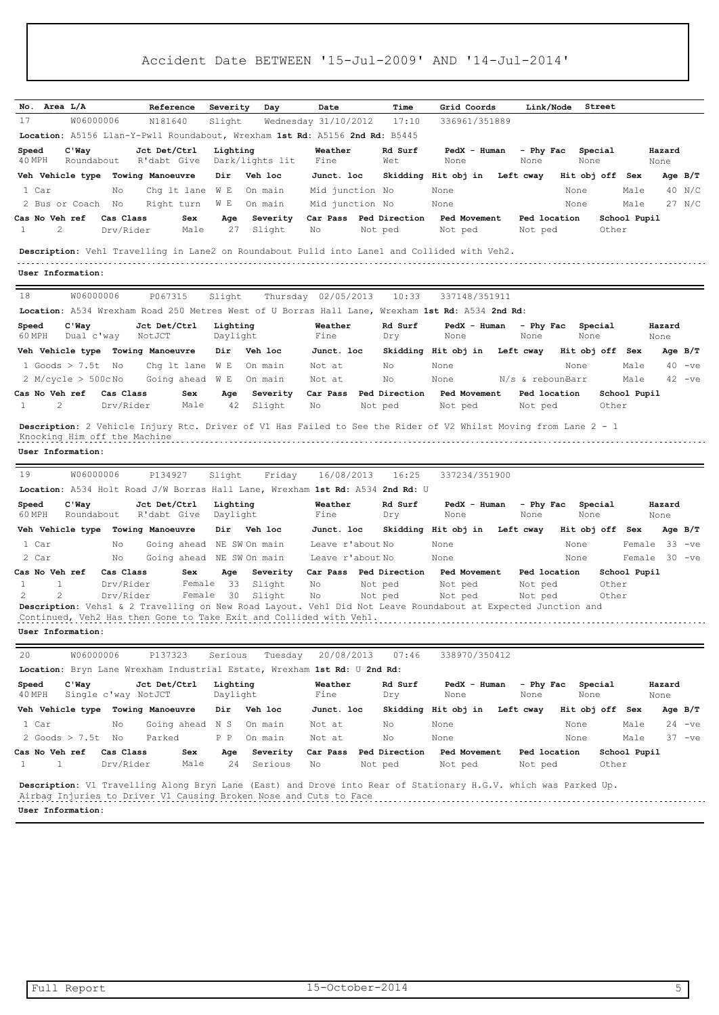| No. Area L/A            |                         |                     | Reference                                                                           | Severity             | Day             | Date                 | Time                                                                          | Grid Coords                                                                                                     | Link/Node         |      | Street          |              |                |           |
|-------------------------|-------------------------|---------------------|-------------------------------------------------------------------------------------|----------------------|-----------------|----------------------|-------------------------------------------------------------------------------|-----------------------------------------------------------------------------------------------------------------|-------------------|------|-----------------|--------------|----------------|-----------|
| 17                      | W06000006               |                     | N181640                                                                             | Slight               |                 | Wednesday 31/10/2012 | 17:10                                                                         | 336961/351889                                                                                                   |                   |      |                 |              |                |           |
|                         |                         |                     |                                                                                     |                      |                 |                      | Location: A5156 Llan-Y-Pwll Roundabout, Wrexham 1st Rd: A5156 2nd Rd: B5445   |                                                                                                                 |                   |      |                 |              |                |           |
|                         |                         |                     | Jct Det/Ctrl                                                                        |                      |                 | Weather              | Rd Surf                                                                       | PedX - Human                                                                                                    |                   |      |                 |              |                |           |
| Speed<br>40 MPH         | $C'$ Way<br>Roundabout  |                     | R'dabt Give                                                                         | Lighting             | Dark/lights lit | Fine                 | Wet                                                                           | None                                                                                                            | - Phy Fac<br>None |      | Special<br>None |              | Hazard<br>None |           |
| Veh Vehicle type        |                         |                     | Towing Manoeuvre                                                                    | Dir                  | Veh loc         | Junct. loc           |                                                                               | Skidding Hit obj in                                                                                             | Left cway         |      | Hit obj off Sex |              |                | Age $B/T$ |
| 1 Car                   |                         | No                  | Chq 1t lane                                                                         | W E                  | On main         | Mid junction No      |                                                                               | None                                                                                                            |                   | None |                 | Male         |                | 40 N/C    |
|                         | 2 Bus or Coach          | No                  | Right turn                                                                          | W E                  | On main         | Mid junction No      |                                                                               | None                                                                                                            |                   | None |                 | Male         |                | $27$ N/C  |
| Cas No Veh ref          |                         | Cas Class           | Sex                                                                                 | Age                  | Severity        | Car Pass             | Ped Direction                                                                 | Ped Movement                                                                                                    | Ped location      |      |                 | School Pupil |                |           |
| 1                       | 2                       | Drv/Rider           | Male                                                                                | 27                   | Slight          | No                   | Not ped                                                                       | Not ped                                                                                                         | Not ped           |      | Other           |              |                |           |
|                         |                         |                     |                                                                                     |                      |                 |                      |                                                                               | Description: Vehl Travelling in Lane2 on Roundabout Pulld into Lane1 and Collided with Veh2.                    |                   |      |                 |              |                |           |
|                         |                         |                     |                                                                                     |                      |                 |                      |                                                                               |                                                                                                                 |                   |      |                 |              |                |           |
| User Information:       |                         |                     |                                                                                     |                      |                 |                      |                                                                               |                                                                                                                 |                   |      |                 |              |                |           |
| 18                      | W06000006               |                     | P067315                                                                             | Slight               |                 | Thursday 02/05/2013  | 10:33                                                                         | 337148/351911                                                                                                   |                   |      |                 |              |                |           |
|                         |                         |                     |                                                                                     |                      |                 |                      |                                                                               | Location: A534 Wrexham Road 250 Metres West of U Borras Hall Lane, Wrexham 1st Rd: A534 2nd Rd:                 |                   |      |                 |              |                |           |
| Speed                   | $C'$ Way                |                     | Jct Det/Ctrl                                                                        | Lighting             |                 | Weather              | Rd Surf                                                                       | PedX - Human                                                                                                    | - Phy Fac         |      | Special         |              | Hazard         |           |
| 60 MPH                  | Dual c'way              |                     | NotJCT                                                                              | Daylight             |                 | Fine                 | Dry                                                                           | None                                                                                                            | None              |      | None            |              | None           |           |
|                         |                         |                     | Veh Vehicle type Towing Manoeuvre                                                   | Dir                  | Veh loc         | Junct. loc           |                                                                               | Skidding Hit obj in                                                                                             | Left cway         |      | Hit obj off     | Sex          |                | Age $B/T$ |
|                         | 1 Goods $> 7.5t$        | No                  | Chq lt lane                                                                         | W E                  | On main         | Not at               | No                                                                            | None                                                                                                            |                   | None |                 | Male         |                | $40 -ve$  |
|                         | $2$ M/cycle $> 500c$ No |                     | Going ahead                                                                         | W E                  | On main         | Not at               | No                                                                            | None                                                                                                            | N/s & rebounBarr  |      |                 | Male         |                | $42 -ve$  |
| Cas No Veh ref          |                         | Cas Class           | Sex                                                                                 | Age                  | Severity        | Car Pass             | Ped Direction                                                                 | Ped Movement                                                                                                    | Ped location      |      |                 | School Pupil |                |           |
| 1                       | 2                       | Drv/Rider           | Male                                                                                | 42                   | Slight          | No                   | Not ped                                                                       | Not ped                                                                                                         | Not ped           |      | Other           |              |                |           |
| User Information:<br>19 | W06000006               |                     | P134927                                                                             | Slight               | Friday          | 16/08/2013           | 16:25                                                                         | 337234/351900                                                                                                   |                   |      |                 |              |                |           |
|                         |                         |                     |                                                                                     |                      |                 |                      | Location: A534 Holt Road J/W Borras Hall Lane, Wrexham 1st Rd: A534 2nd Rd: U |                                                                                                                 |                   |      |                 |              |                |           |
| Speed<br>60 MPH         | $C'$ Way<br>Roundabout  |                     | Jct Det/Ctrl<br>R'dabt Give                                                         | Lighting<br>Daylight |                 | Weather<br>Fine      | Rd Surf<br>Dry                                                                | PedX - Human<br>None                                                                                            | - Phy Fac<br>None |      | Special<br>None |              | Hazard<br>None |           |
| Veh Vehicle type        |                         |                     | Towing Manoeuvre                                                                    | Dir                  | Veh loc         | Junct. loc           |                                                                               | Skidding Hit obj in                                                                                             | Left cway         |      | Hit obj off Sex |              |                | Age $B/T$ |
| 1 Car                   |                         | No                  | Going ahead                                                                         |                      | NE SW On main   | Leave r'about No     |                                                                               | None                                                                                                            |                   | None |                 |              | Female 33 -ve  |           |
| 2 Car                   |                         | No                  | Going ahead                                                                         |                      | NE SW On main   | Leave r'about No     |                                                                               | None                                                                                                            |                   | None |                 |              | Female 30 -ve  |           |
| Cas No Veh ref          |                         | Cas Class           | Sex                                                                                 | Age                  | Severity        | Car Pass             | Ped Direction                                                                 | Ped Movement                                                                                                    | Ped location      |      |                 | School Pupil |                |           |
| 1                       | 1                       | Drv/Rider           | Female                                                                              | 33                   | Slight          | No                   | Not ped                                                                       | Not ped                                                                                                         | Not ped           |      | Other           |              |                |           |
| 2                       | 2                       | Drv/Rider           | Female                                                                              | 30                   | Slight          | No                   | Not ped                                                                       | Not ped                                                                                                         | Not ped           |      | Other           |              |                |           |
|                         |                         |                     | Continued, Veh2 Has then Gone to Take Exit and Collided with Veh1.                  |                      |                 |                      |                                                                               | Description: Vehs1 & 2 Travelling on New Road Layout. Veh1 Did Not Leave Roundabout at Expected Junction and    |                   |      |                 |              |                |           |
| User Information:       |                         |                     |                                                                                     |                      |                 |                      |                                                                               |                                                                                                                 |                   |      |                 |              |                |           |
|                         |                         |                     |                                                                                     |                      |                 |                      |                                                                               |                                                                                                                 |                   |      |                 |              |                |           |
| 20                      | W06000006               |                     | P137323<br>Location: Bryn Lane Wrexham Industrial Estate, Wrexham 1st Rd: U 2nd Rd: | Serious              | Tuesday         | 20/08/2013           | 07:46                                                                         | 338970/350412                                                                                                   |                   |      |                 |              |                |           |
|                         |                         |                     |                                                                                     |                      |                 |                      |                                                                               |                                                                                                                 |                   |      |                 |              |                |           |
| Speed<br>40 MPH         | $C'$ Way                | Single c'way NotJCT | Jct Det/Ctrl                                                                        | Lighting<br>Daylight |                 | Weather<br>Fine      | Rd Surf<br>Dry                                                                | PedX - Human<br>None                                                                                            | - Phy Fac<br>None |      | Special<br>None |              | Hazard<br>None |           |
|                         |                         |                     | Veh Vehicle type Towing Manoeuvre                                                   | Dir                  | Veh loc         | Junct. loc           |                                                                               | Skidding Hit obj in Left cway                                                                                   |                   |      | Hit obj off Sex |              |                | Age $B/T$ |
| 1 Car                   |                         | No                  | Going ahead                                                                         | N S                  | On main         | Not at               | No                                                                            | None                                                                                                            |                   | None |                 | Male         |                | $24 -ve$  |
|                         | 2 Goods $> 7.5t$ No     |                     | Parked                                                                              | P P                  | On main         | Not at               | No                                                                            | None                                                                                                            |                   | None |                 | Male         |                | $37 -ve$  |
| Cas No Veh ref          |                         | Cas Class           | Sex                                                                                 | Age                  | Severity        | Car Pass             | Ped Direction                                                                 | Ped Movement                                                                                                    | Ped location      |      |                 | School Pupil |                |           |
| $\mathbf{1}$            | $\mathbf{1}$            | Drv/Rider           | Male                                                                                | 24                   | Serious         | Νo                   | Not ped                                                                       | Not ped                                                                                                         | Not ped           |      | Other           |              |                |           |
| User Information:       |                         |                     | Airbag Injuries to Driver V1 Causing Broken Nose and Cuts to Face                   |                      |                 |                      |                                                                               | Description: V1 Travelling Along Bryn Lane (East) and Drove into Rear of Stationary H.G.V. which was Parked Up. |                   |      |                 |              |                |           |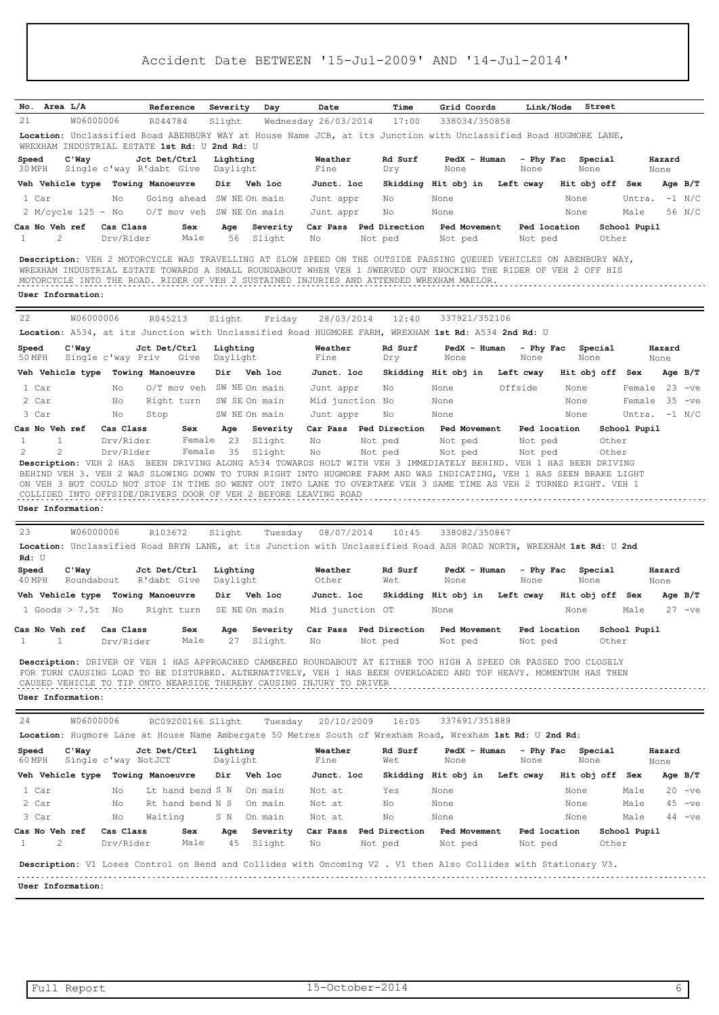| No. Area L/A                                                                                                                                                                                                                                                                                                                                                          |                              |                                          |                                |                                     |                                   |                                   |                                                                                                       |                         |                 |                               |                 |
|-----------------------------------------------------------------------------------------------------------------------------------------------------------------------------------------------------------------------------------------------------------------------------------------------------------------------------------------------------------------------|------------------------------|------------------------------------------|--------------------------------|-------------------------------------|-----------------------------------|-----------------------------------|-------------------------------------------------------------------------------------------------------|-------------------------|-----------------|-------------------------------|-----------------|
|                                                                                                                                                                                                                                                                                                                                                                       |                              | Reference                                | Severity                       | Day                                 | Date                              | Time                              | Grid Coords                                                                                           | Link/Node               | Street          |                               |                 |
| 21<br>Location: Unclassified Road ABENBURY WAY at House Name JCB, at its Junction with Unclassified Road HUGMORE LANE,                                                                                                                                                                                                                                                | W06000006                    | R044784                                  | Slight                         |                                     | Wednesday 26/03/2014              | 17:00                             | 338034/350858                                                                                         |                         |                 |                               |                 |
| WREXHAM INDUSTRIAL ESTATE 1st Rd: U                                                                                                                                                                                                                                                                                                                                   |                              |                                          | 2nd $Rd:U$                     |                                     |                                   |                                   |                                                                                                       |                         |                 |                               |                 |
| $C'$ Way<br>Speed<br>30 MPH                                                                                                                                                                                                                                                                                                                                           |                              | Jct Det/Ctrl<br>Single c'way R'dabt Give | Lighting<br>Daylight           |                                     | Weather<br>Fine                   | Rd Surf<br>Dry                    | PedX - Human<br>None                                                                                  | - Phy Fac<br>None       | Special<br>None |                               | Hazard<br>None  |
| Veh Vehicle type Towing Manoeuvre                                                                                                                                                                                                                                                                                                                                     |                              |                                          | Dir Veh loc                    |                                     | Junct. loc                        |                                   | Skidding Hit obj in                                                                                   | Left cway               | Hit obj off Sex |                               | Age $B/T$       |
| 1 Car                                                                                                                                                                                                                                                                                                                                                                 | No                           | Going ahead                              | SW NE On main                  |                                     | Junt appr                         | No                                | None                                                                                                  |                         | None            | Untra.                        | $-1$ N/C        |
| 2 M/cycle 125 - No                                                                                                                                                                                                                                                                                                                                                    |                              | O/T mov veh                              | SW NE On main                  |                                     | Junt appr                         | No                                | None                                                                                                  |                         | None            | Male                          | 56 N/C          |
| Cas No Veh ref<br>2<br>1                                                                                                                                                                                                                                                                                                                                              | Cas Class<br>Drv/Rider       | Sex<br>Male                              | Age<br>56                      | Severity<br>Slight                  | Car Pass<br>No                    | Ped Direction<br>Not ped          | Ped Movement<br>Not ped                                                                               | Ped location<br>Not ped |                 | School Pupil<br>Other         |                 |
| Description: VEH 2 MOTORCYCLE WAS TRAVELLING AT SLOW SPEED ON THE OUTSIDE PASSING QUEUED VEHICLES ON ABENBURY WAY,<br>WREXHAM INDUSTRIAL ESTATE TOWARDS A SMALL ROUNDABOUT WHEN VEH 1 SWERVED OUT KNOCKING THE RIDER OF VEH 2 OFF HIS<br>MOTORCYCLE INTO THE ROAD. RIDER OF VEH 2 SUSTAINED INJURIES AND ATTENDED WREXHAM MAELOR.<br>User Information:                |                              |                                          |                                |                                     |                                   |                                   |                                                                                                       |                         |                 |                               |                 |
| 22                                                                                                                                                                                                                                                                                                                                                                    | W06000006                    | R045213                                  | Slight                         | Friday                              | 28/03/2014                        | 12:40                             | 337921/352106                                                                                         |                         |                 |                               |                 |
| Location: A534, at its Junction with Unclassified Road HUGMORE FARM, WREXHAM 1st Rd: A534 2nd Rd: U                                                                                                                                                                                                                                                                   |                              |                                          |                                |                                     |                                   |                                   |                                                                                                       |                         |                 |                               |                 |
| Speed<br>$C'$ Way                                                                                                                                                                                                                                                                                                                                                     |                              | Jct Det/Ctrl                             | Lighting                       |                                     | Weather                           | Rd Surf                           | PedX - Human                                                                                          | - Phy Fac               | Special         |                               | Hazard          |
| 50 MPH                                                                                                                                                                                                                                                                                                                                                                | Single c'way Priv            | Give                                     | Daylight                       |                                     | Fine                              | Dry                               | None                                                                                                  | None                    | None            |                               | None            |
| Veh Vehicle type                                                                                                                                                                                                                                                                                                                                                      |                              | Towing Manoeuvre                         | Dir                            | Veh loc                             | Junct. loc                        |                                   | Skidding Hit obj in                                                                                   | Left cway               | Hit obj off Sex |                               | Age $B/T$       |
| 1 Car                                                                                                                                                                                                                                                                                                                                                                 | No                           | $0/T$ mov veh                            | SW NE On main                  |                                     | Junt appr                         | No                                | None                                                                                                  | Offside                 | None            | Female                        | 23<br>$-ve$     |
| 2 Car                                                                                                                                                                                                                                                                                                                                                                 | No                           | Right turn                               |                                | SW SE On main                       | Mid junction No                   |                                   | None                                                                                                  |                         | None            | Female                        | - 35<br>$-ve$   |
| 3 Car<br>Cas No Veh ref                                                                                                                                                                                                                                                                                                                                               | No<br>Cas Class              | Stop<br>Sex                              | Age                            | SW NE On main<br>Severity           | Junt appr                         | No<br>Car Pass Ped Direction      | None<br><b>Ped Movement</b>                                                                           | Ped location            | None            | School Pupil                  | Untra. $-1$ N/C |
| 2<br>2<br>Description: VEH 2 HAS<br>BEHIND VEH 3. VEH 2 WAS SLOWING DOWN TO TURN RIGHT INTO HUGMORE FARM AND WAS INDICATING, VEH 1 HAS SEEN BRAKE LIGHT<br>ON VEH 3 BUT COULD NOT STOP IN TIME SO WENT OUT INTO LANE TO OVERTAKE VEH 3 SAME TIME AS VEH 2 TURNED RIGHT. VEH 1<br>COLLIDED INTO OFFSIDE/DRIVERS DOOR OF VEH 2 BEFORE LEAVING ROAD<br>User Information: | Drv/Rider                    | Female                                   | 35                             | Slight                              | Νo                                | Not ped                           | Not ped<br>BEEN DRIVING ALONG A534 TOWARDS HOLT WITH VEH 3 IMMEDIATELY BEHIND. VEH 1 HAS BEEN DRIVING | Not ped                 |                 | Other                         |                 |
| 23<br>Location: Unclassified Road BRYN LANE, at its Junction with Unclassified Road ASH ROAD NORTH, WREXHAM 1st Rd: U 2nd<br>Rd: U<br>Speed<br>$C'$ Way<br>40 MPH<br>Roundabout                                                                                                                                                                                       | W06000006                    | R103672<br>Jct Det/Ctrl<br>R'dabt Give   | Slight<br>Lighting<br>Daylight | Tuesday                             | 08/07/2014<br>Weather<br>Other    | 10:45<br>Rd Surf<br>Wet           | 338082/350867<br>PedX - Human<br>None                                                                 | - Phy Fac<br>None       | Special<br>None |                               | Hazard<br>None  |
| Veh Vehicle type                                                                                                                                                                                                                                                                                                                                                      |                              | Towing Manoeuvre                         | Dir                            | Veh loc                             | Junct. loc                        |                                   | Skidding Hit obj in                                                                                   | Left cway               | Hit obj off     | Sex                           | Age $B/T$       |
| 1 Goods $> 7.5t$<br>Cas No Veh ref<br>1<br>1                                                                                                                                                                                                                                                                                                                          | No<br>Cas Class<br>Drv/Rider | Right turn<br>Sex<br>Male                | Age<br>27                      | SE NE On main<br>Severity<br>Slight | Mid junction OT<br>Car Pass<br>No | Ped Direction<br>Not ped          | None<br>Ped Movement<br>Not ped                                                                       | Ped location<br>Not ped | None            | Male<br>School Pupil<br>Other | $27 -ve$        |
| Description: DRIVER OF VEH 1 HAS APPROACHED CAMBERED ROUNDABOUT AT EITHER TOO HIGH A SPEED OR PASSED TOO CLOSELY<br>FOR TURN CAUSING LOAD TO BE DISTURBED. ALTERNATIVELY, VEH 1 HAS BEEN OVERLOADED AND TOP HEAVY. MOMENTUM HAS THEN<br>CAUSED VEHICLE TO TIP ONTO NEARSIDE THEREBY CAUSING INJURY TO DRIVER<br>User Information:                                     |                              |                                          |                                |                                     |                                   |                                   |                                                                                                       |                         |                 |                               |                 |
| 24                                                                                                                                                                                                                                                                                                                                                                    | W06000006                    | RC09200166 Slight                        |                                | Tuesday                             | 20/10/2009                        | 16:05                             | 337691/351889                                                                                         |                         |                 |                               |                 |
| Location: Hugmore Lane at House Name Ambergate 50 Metres South of Wrexham Road, Wrexham 1st Rd: U 2nd Rd:                                                                                                                                                                                                                                                             |                              |                                          |                                |                                     |                                   |                                   |                                                                                                       |                         |                 |                               |                 |
| Speed<br>$C'$ Way<br>60 MPH                                                                                                                                                                                                                                                                                                                                           | Single c'way NotJCT          | Jct Det/Ctrl                             | Lighting<br>Daylight           |                                     | Weather<br>Fine                   | Rd Surf<br>Wet                    | PedX - Human<br>None                                                                                  | - Phy Fac<br>None       | Special<br>None |                               | Hazard<br>None  |
| Veh Vehicle type Towing Manoeuvre                                                                                                                                                                                                                                                                                                                                     |                              |                                          | Dir                            | Veh loc                             | Junct. loc                        |                                   | Skidding Hit obj in                                                                                   | Left cway               | Hit obj off Sex |                               | Age $B/T$       |
| 1 Car                                                                                                                                                                                                                                                                                                                                                                 | No                           | Lt hand bend S N                         |                                | On main                             | Not at                            | Yes                               | None                                                                                                  |                         | None            | Male                          | $20 -ve$        |
| 2 Car                                                                                                                                                                                                                                                                                                                                                                 | No                           | Rt hand bend N S                         |                                | On main                             | Not at                            | No                                | None                                                                                                  |                         | None            | Male                          | $45 -ve$        |
| 3 Car                                                                                                                                                                                                                                                                                                                                                                 | No                           | Waiting                                  | S N                            | On main                             | Not at                            | No                                | None                                                                                                  |                         | None            | Male                          | $44 -ve$        |
| Cas No Veh ref<br>2<br>1                                                                                                                                                                                                                                                                                                                                              | Cas Class<br>Drv/Rider       | Sex<br>Male                              | Age<br>45                      | Severity<br>Slight                  | No                                | Car Pass Ped Direction<br>Not ped | Ped Movement<br>Not ped                                                                               | Ped location<br>Not ped |                 | School Pupil<br>Other         |                 |
| Description: V1 Loses Control on Bend and Collides with Oncoming V2 . V1 then Also Collides with Stationary V3.                                                                                                                                                                                                                                                       |                              |                                          |                                |                                     |                                   |                                   |                                                                                                       |                         |                 |                               |                 |